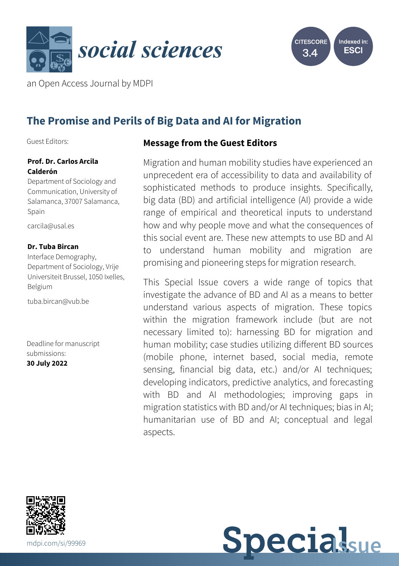



an Open Access Journal by MDPI

# **The Promise and Perils of Big Data and AI for Migration**

Guest Editors:

### **Prof. Dr. Carlos Arcila Calderón**

Department of Sociology and Communication, University of Salamanca, 37007 Salamanca, Spain

[carcila@usal.es](mailto:carcila@usal.es)

### **Dr. Tuba Bircan**

Interface Demography, Department of Sociology, Vrije Universiteit Brussel, 1050 Ixelles, Belgium

[tuba.bircan@vub.be](mailto:tuba.bircan@vub.be)

Deadline for manuscript submissions: **30 July 2022**

# **Message from the Guest Editors**

Migration and human mobility studies have experienced an unprecedent era of accessibility to data and availability of sophisticated methods to produce insights. Specifically, big data (BD) and artificial intelligence (AI) provide a wide range of empirical and theoretical inputs to understand how and why people move and what the consequences of this social event are. These new attempts to use BD and AI to understand human mobility and migration are promising and pioneering steps for migration research.

This Special Issue covers a wide range of topics that investigate the advance of BD and AI as a means to better understand various aspects of migration. These topics within the migration framework include (but are not necessary limited to): harnessing BD for migration and human mobility; case studies utilizing different BD sources (mobile phone, internet based, social media, remote sensing, financial big data, etc.) and/or AI techniques; developing indicators, predictive analytics, and forecasting with BD and AI methodologies; improving gaps in migration statistics with BD and/or AI techniques; bias in AI; humanitarian use of BD and AI; conceptual and legal aspects.